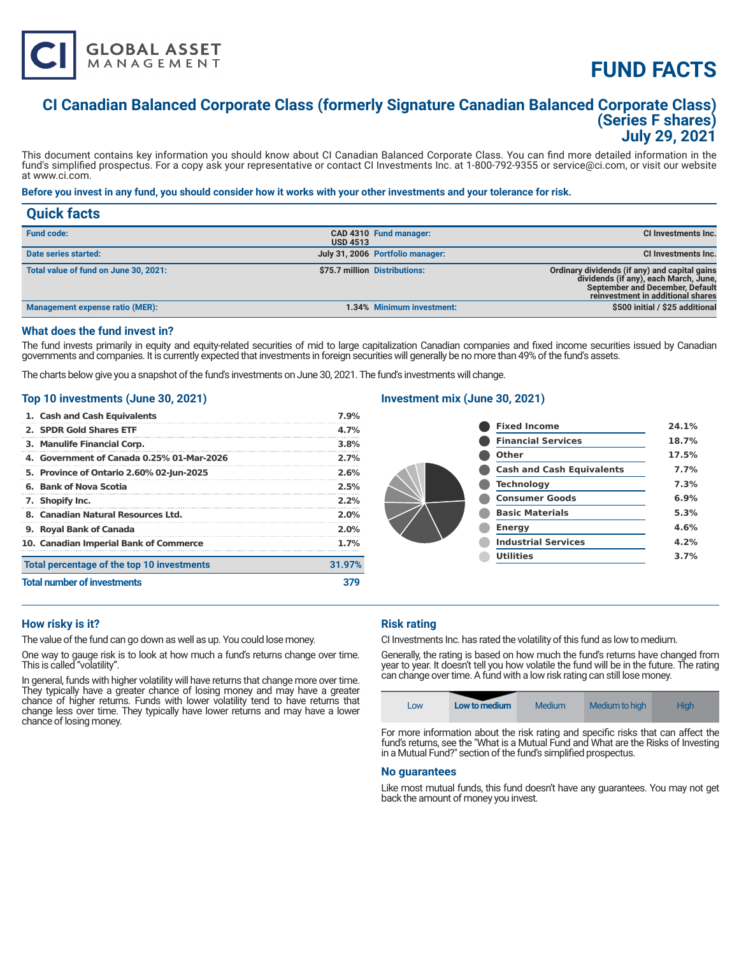

# **FUND FACTS**

# **CI Canadian Balanced Corporate Class (formerly Signature Canadian Balanced Corporate Class) (Series F shares) July 29, 2021**

This document contains key information you should know about CI Canadian Balanced Corporate Class. You can find more detailed information in the fund's simplified prospectus. For a copy ask your representative or contact CI Investments Inc. at 1-800-792-9355 or service@ci.com, or visit our website at www.ci.com.

# **Before you invest in any fund, you should consider how it works with your other investments and your tolerance for risk.**

| <b>Quick facts</b>                     |                 |                                  |                                                                                                                                                                |
|----------------------------------------|-----------------|----------------------------------|----------------------------------------------------------------------------------------------------------------------------------------------------------------|
| <b>Fund code:</b>                      | <b>USD 4513</b> | CAD 4310 Fund manager:           | CI Investments Inc.                                                                                                                                            |
| Date series started:                   |                 | July 31, 2006 Portfolio manager: | CI Investments Inc.                                                                                                                                            |
| Total value of fund on June 30, 2021:  |                 | \$75.7 million Distributions:    | Ordinary dividends (if any) and capital gains<br>dividends (if any), each March, June,<br>September and December, Default<br>reinvestment in additional shares |
| <b>Management expense ratio (MER):</b> |                 | 1.34% Minimum investment:        | \$500 initial / \$25 additional                                                                                                                                |

#### **What does the fund invest in?**

The fund invests primarily in equity and equity-related securities of mid to large capitalization Canadian companies and fixed income securities issued by Canadian governments and companies. It is currently expected that investments in foreign securities will generally be no more than 49% of the fund's assets.

The charts below give you a snapshot of the fund's investments on June 30, 2021. The fund's investments will change.

#### **Top 10 investments (June 30, 2021)**

| 1. Cash and Cash Equivalents               | 7.9%   |
|--------------------------------------------|--------|
| 2. SPDR Gold Shares ETF                    | 4.7%   |
| 3. Manulife Financial Corp.                | 3.8%   |
| 4. Government of Canada 0.25% 01-Mar-2026  | 2.7%   |
| 5. Province of Ontario 2.60% 02-Jun-2025   | 2.6%   |
| 6. Bank of Nova Scotia                     | 2.5%   |
| 7. Shopify Inc.                            | 2.2%   |
| 8. Canadian Natural Resources Ltd.         | 2.0%   |
| 9. Royal Bank of Canada                    | 2.0%   |
| 10. Canadian Imperial Bank of Commerce     | 1.7%   |
| Total percentage of the top 10 investments | 31.97% |
| <b>Total number of investments</b>         |        |

# **Investment mix (June 30, 2021)**

| <b>Fixed Income</b>              | 24.1% |
|----------------------------------|-------|
| <b>Financial Services</b>        | 18.7% |
| Other                            | 17.5% |
| <b>Cash and Cash Equivalents</b> | 7.7%  |
| <b>Technology</b>                | 7.3%  |
| <b>Consumer Goods</b>            | 6.9%  |
| <b>Basic Materials</b>           | 5.3%  |
| <b>Energy</b>                    | 4.6%  |
| <b>Industrial Services</b>       | 4.2%  |
| <b>Utilities</b>                 | 3.7%  |
|                                  |       |

# **How risky is it?**

The value of the fund can go down as well as up. You could lose money.

One way to gauge risk is to look at how much a fund's returns change over time. This is called "volatility".

In general, funds with higher volatility will have returns that change more over time. They typically have a greater chance of losing money and may have a greater chance of higher returns. Funds with lower volatility tend to have returns that change less over time. They typically have lower returns and may have a lower chance of losing money.

# **Risk rating**

CI Investments Inc. has rated the volatility of this fund as low to medium.

Generally, the rating is based on how much the fund's returns have changed from year to year. It doesn't tell you how volatile the fund will be in the future. The rating can change over time. A fund with a low risk rating can still lose money.

|--|

For more information about the risk rating and specific risks that can affect the fund's returns, see the "What is a Mutual Fund and What are the Risks of Investing in a Mutual Fund?" section of the fund's simplified prospectus.

#### **No guarantees**

Like most mutual funds, this fund doesn't have any guarantees. You may not get back the amount of money you invest.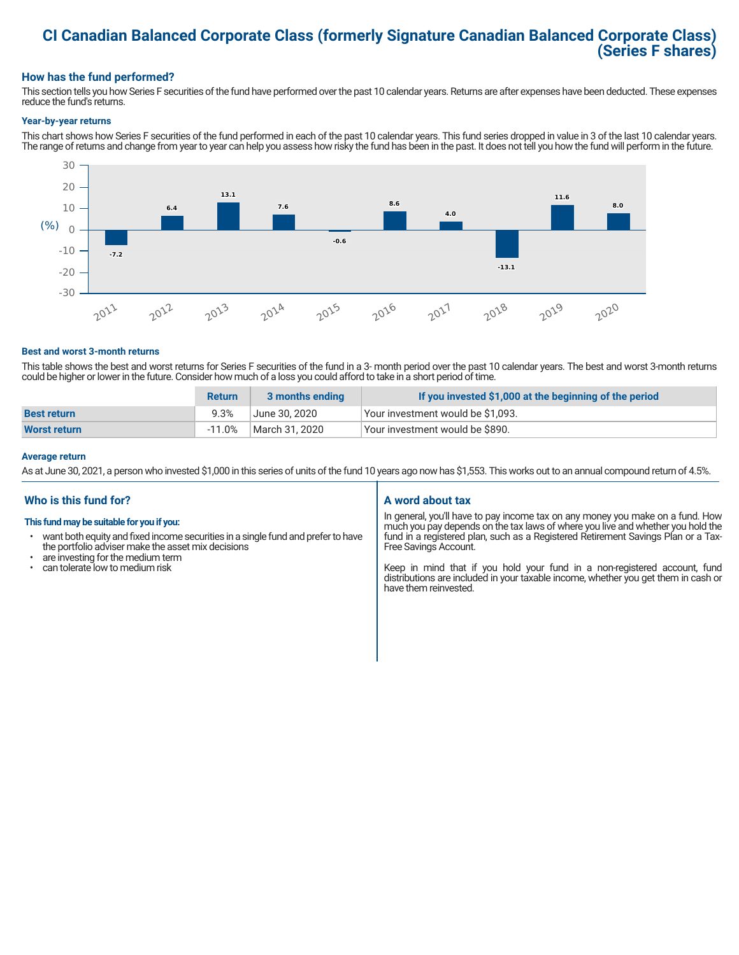# **CI Canadian Balanced Corporate Class (formerly Signature Canadian Balanced Corporate Class) (Series F shares)**

# **How has the fund performed?**

This section tells you how Series F securities of the fund have performed over the past 10 calendar years. Returns are after expenses have been deducted. These expenses reduce the fund's returns.

#### **Year-by-year returns**

This chart shows how Series F securities of the fund performed in each of the past 10 calendar years. This fund series dropped in value in 3 of the last 10 calendar years. The range of returns and change from year to year can help you assess how risky the fund has been in the past. It does not tell you how the fund will perform in the future.



#### **Best and worst 3-month returns**

This table shows the best and worst returns for Series F securities of the fund in a 3- month period over the past 10 calendar years. The best and worst 3-month returns could be higher or lower in the future. Consider how much of a loss you could afford to take in a short period of time.

|                     | <b>Return</b> | 3 months ending | If you invested \$1,000 at the beginning of the period |
|---------------------|---------------|-----------------|--------------------------------------------------------|
| <b>Best return</b>  | 9.3%          | June 30. 2020   | Your investment would be \$1,093.                      |
| <b>Worst return</b> | $-11.0%$      | March 31, 2020  | Your investment would be \$890.                        |

#### **Average return**

As at June 30, 2021, a person who invested \$1,000 in this series of units of the fund 10 years ago now has \$1,553. This works out to an annual compound return of 4.5%.

# **Who is this fund for?**

#### **This fund may be suitable for you if you:**

- want both equity and fixed income securities in a single fund and prefer to have the portfolio adviser make the asset mix decisions
- are investing for the medium term<br>• can tolerate low to medium risk
- can tolerate low to medium risk

# **A word about tax**

In general, you'll have to pay income tax on any money you make on a fund. How much you pay depends on the tax laws of where you live and whether you hold the fund in a registered plan, such as a Registered Retirement Savings Plan or a Tax-Free Savings Account.

Keep in mind that if you hold your fund in a non-registered account, fund distributions are included in your taxable income, whether you get them in cash or have them reinvested.